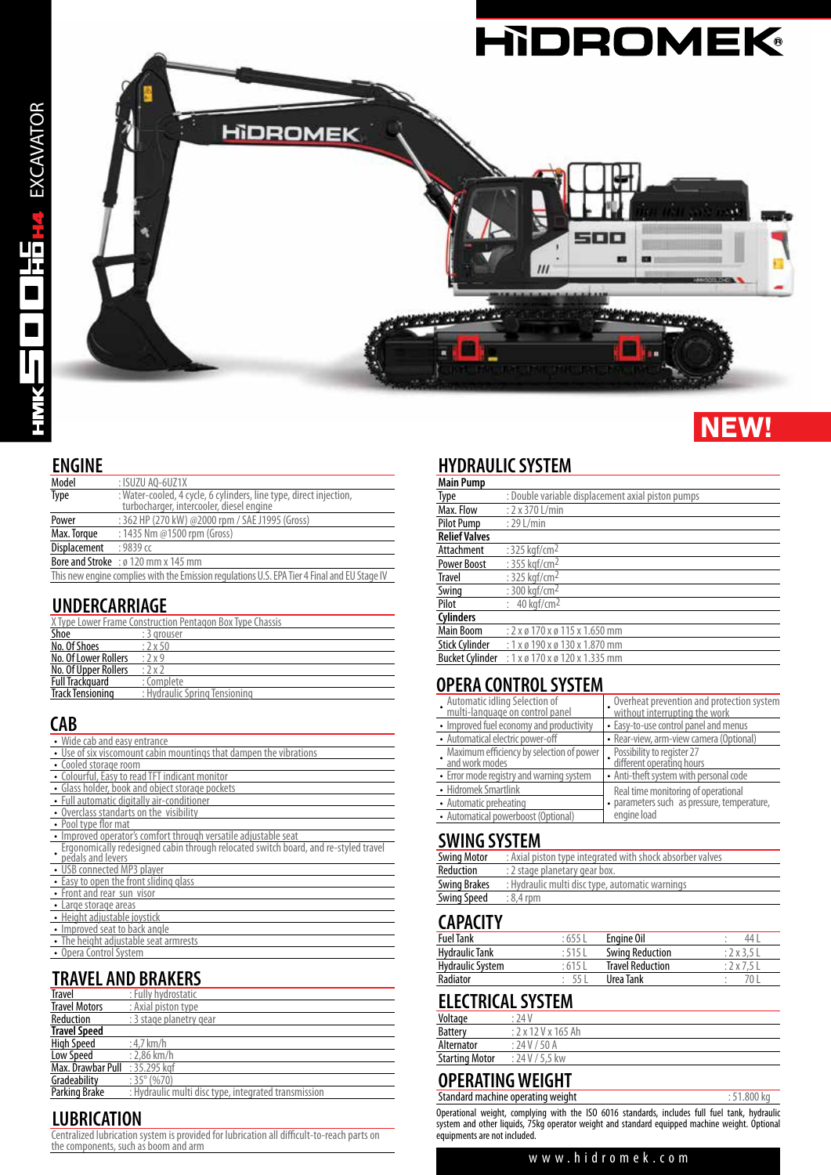

# **NEW!**

#### **ENGINE**

| Model        | : ISUZU AO-6UZ1X                                                                                               |
|--------------|----------------------------------------------------------------------------------------------------------------|
| Type         | : Water-cooled, 4 cycle, 6 cylinders, line type, direct injection,<br>turbocharger, intercooler, diesel engine |
| Power        | : 362 HP (270 kW) @2000 rpm / SAE J1995 (Gross)                                                                |
| Max. Torque  | : 1435 Nm @1500 rpm (Gross)                                                                                    |
| Displacement | $:9839$ cc                                                                                                     |
|              | <b>Bore and Stroke</b> : $\emptyset$ 120 mm x 145 mm                                                           |
|              | This new engine complies with the Emission regulations U.S. EPA Tier 4 Final and EU Stage IV                   |

## **UNDERCARRIAGE**

|                         | X Type Lower Frame Construction Pentagon Box Type Chassis |
|-------------------------|-----------------------------------------------------------|
| Shoe                    | : 3 grouser                                               |
| No. Of Shoes            | $:2\times 50$                                             |
| No. Of Lower Rollers    | :2x9                                                      |
| No. Of Upper Rollers    | :2x2                                                      |
| <b>Full Trackguard</b>  | : Complete                                                |
| <b>Track Tensioning</b> | : Hydraulic Spring Tensioning                             |
|                         |                                                           |

## **CAB**

| • Wide cab and easy entrance                                                                             |
|----------------------------------------------------------------------------------------------------------|
| • Use of six viscomount cabin mountings that dampen the vibrations                                       |
| • Cooled storage room                                                                                    |
| • Colourful, Easy to read TFT indicant monitor                                                           |
| • Glass holder, book and object storage pockets                                                          |
| • Full automatic digitally air-conditioner                                                               |
| • Overclass standarts on the visibility                                                                  |
| • Pool type flor mat                                                                                     |
| Improved operator's comfort through versatile adjustable seat                                            |
| Ergonomically redesigned cabin through relocated switch board, and re-styled travel<br>pedals and levers |
| • USB connected MP3 player                                                                               |
| • Easy to open the front sliding glass                                                                   |
| • Front and rear sun visor                                                                               |
| Large storage areas                                                                                      |
| • Height adjustable joystick                                                                             |
| • Improved seat to back angle                                                                            |
| The height adjustable seat armrests                                                                      |
| • Opera Control System                                                                                   |

# **TRAVEL AND BRAKERS**

| <b>Travel</b>        | : Fully hydrostatic                                  |
|----------------------|------------------------------------------------------|
| <b>Travel Motors</b> | : Axial piston type                                  |
| Reduction            | : 3 stage planetry gear                              |
| <b>Travel Speed</b>  |                                                      |
| <b>High Speed</b>    | : $4.7$ km/h                                         |
| <b>Low Speed</b>     | $: 2.86$ km/h                                        |
| Max. Drawbar Pull    | : 35.295 kgf                                         |
| Gradeability         | $:35^{\circ}(%70)$                                   |
| <b>Parking Brake</b> | : Hydraulic multi disc type, integrated transmission |

# **LUBRICATION**

Centralized lubrication system is provided for lubrication all difficult-to-reach parts on the components, such as boom and arm

## **HYDRAULIC SYSTEM**

| <b>Main Pump</b>       |                                                   |
|------------------------|---------------------------------------------------|
| Type                   | : Double variable displacement axial piston pumps |
| Max. Flow              | $: 2 \times 370$ L/min                            |
| <b>Pilot Pump</b>      | $: 29$ L/min                                      |
| <b>Relief Valves</b>   |                                                   |
| Attachment             | : $325$ kgf/cm <sup>2</sup>                       |
| <b>Power Boost</b>     | : 355 kgf/cm <sup>2</sup>                         |
| <b>Travel</b>          | : 325 kgf/cm <sup>2</sup>                         |
| Swing                  | : 300 kgf/cm <sup>2</sup>                         |
| Pilot                  | $: 40$ kaf/cm <sup>2</sup>                        |
| <b>Cylinders</b>       |                                                   |
| <b>Main Boom</b>       | : 2 x ø 170 x ø 115 x 1.650 mm                    |
| <b>Stick Cylinder</b>  | $: 1x \times 190x \times 130x1.870$ mm            |
| <b>Bucket Cylinder</b> | $: 1 \times 0 170 \times 0 120 \times 1.335$ mm   |

#### **OPERA CONTROL SYSTEM**

| Automatic idling Selection of<br>multi-language on control panel | Overheat prevention and protection system<br>without interrupting the work |  |
|------------------------------------------------------------------|----------------------------------------------------------------------------|--|
| • Improved fuel economy and productivity                         | • Easy-to-use control panel and menus                                      |  |
| • Automatical electric power-off                                 | • Rear-view, arm-view camera (Optional)                                    |  |
| Maximum efficiency by selection of power<br>and work modes       | Possibility to register 27<br>different operating hours                    |  |
| • Error mode registry and warning system                         | • Anti-theft system with personal code                                     |  |
| • Hidromek Smartlink                                             | Real time monitoring of operational                                        |  |
| • Automatic preheating                                           | · parameters such as pressure, temperature,                                |  |
| • Automatical powerboost (Optional)                              | engine load                                                                |  |

## **SWING SYSTEM**

| <b>Swing Motor</b>  | : Axial piston type integrated with shock absorber valves |
|---------------------|-----------------------------------------------------------|
| Reduction           | : 2 stage planetary gear box.                             |
| <b>Swing Brakes</b> | : Hydraulic multi disc type, automatic warnings           |
| Swing Speed         | $: 8.4$ rpm                                               |
|                     |                                                           |

# **CAPACITY**

| <b>Fuel Tank</b>        | :655    | Engine Oil              | 44          |
|-------------------------|---------|-------------------------|-------------|
| <b>Hydraulic Tank</b>   | : 515 l | <b>Swing Reduction</b>  | $: 2x3.5$ L |
| <b>Hydraulic System</b> | :6151   | <b>Travel Reduction</b> | :2x7.5L     |
| Radiator                |         | Urea Tank               |             |

## **ELECTRICAL SYSTEM**

| <b>Battery</b><br>: 2x12Vx165Ah          |  |
|------------------------------------------|--|
|                                          |  |
| Alternator<br>: 24V / 50A                |  |
| : 24 V / 5.5 kw<br><b>Starting Motor</b> |  |

# **OPERATING WEIGHT**

Standard machine operating weight **in the standard machine operating weight in the standard machine operating weight** Operational weight, complying with the ISO 6016 standards, includes full fuel tank, hydraulic system and other liquids, 75kg operator weight and standard equipped machine weight. Optional equipments are not included.

#### www.hidromek.com